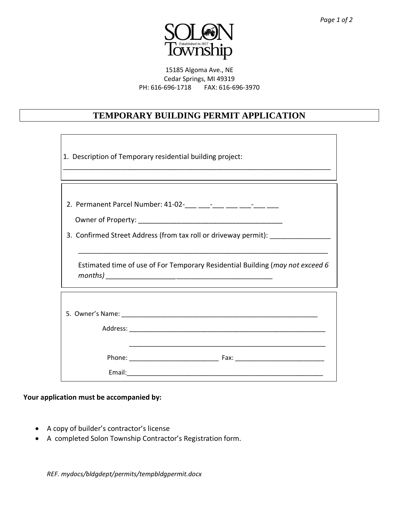

15185 Algoma Ave., NE Cedar Springs, MI 49319 PH: 616-696-1718 FAX: 616-696-3970

## **TEMPORARY BUILDING PERMIT APPLICATION**

| 1. Description of Temporary residential building project:                        |
|----------------------------------------------------------------------------------|
|                                                                                  |
|                                                                                  |
|                                                                                  |
|                                                                                  |
| 3. Confirmed Street Address (from tax roll or driveway permit): ________________ |
|                                                                                  |
| Estimated time of use of For Temporary Residential Building (may not exceed 6    |
|                                                                                  |
|                                                                                  |
|                                                                                  |
|                                                                                  |
|                                                                                  |
|                                                                                  |
|                                                                                  |
|                                                                                  |

**Your application must be accompanied by:**

- A copy of builder's contractor's license
- A completed Solon Township Contractor's Registration form.

*REF. mydocs/bldgdept/permits/tempbldgpermit.docx*